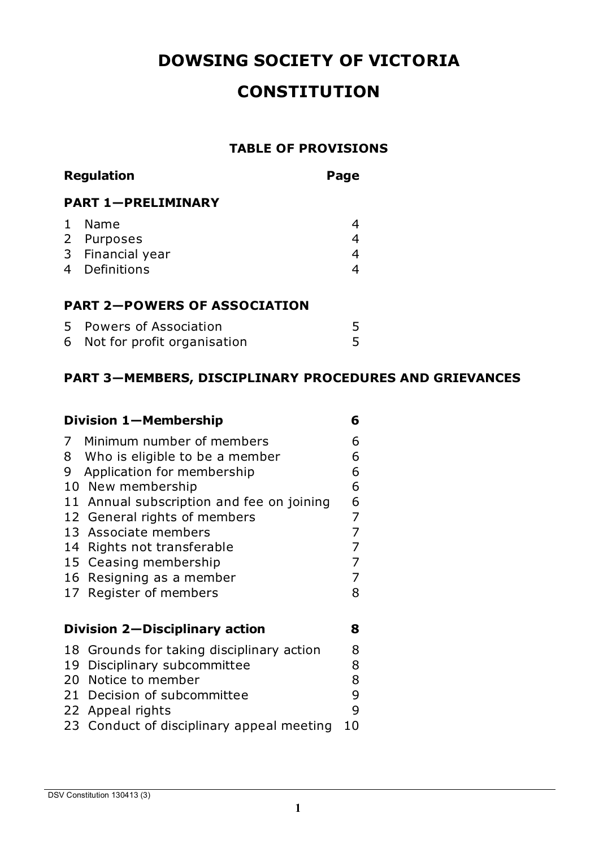# **DOWSING SOCIETY OF VICTORIA**

# **CONSTITUTION**

#### **TABLE OF PROVISIONS**

| <b>Regulation</b>                   |                               | Page           |  |
|-------------------------------------|-------------------------------|----------------|--|
|                                     | <b>PART 1-PRELIMINARY</b>     |                |  |
|                                     | Name                          | 4              |  |
| $2^{\circ}$                         | Purposes                      | 4              |  |
|                                     | 3 Financial year              | $\overline{4}$ |  |
| 4                                   | Definitions                   | 4              |  |
|                                     |                               |                |  |
| <b>PART 2-POWERS OF ASSOCIATION</b> |                               |                |  |
| 5.                                  | Powers of Association         | 5              |  |
|                                     | 6 Not for profit organisation | 5              |  |

# **PART 3—MEMBERS, DISCIPLINARY PROCEDURES AND GRIEVANCES**

| Division 1-Membership          |                                           |                |
|--------------------------------|-------------------------------------------|----------------|
| 7                              | Minimum number of members                 | 6              |
| 8                              | Who is eligible to be a member            | 6              |
| 9                              | Application for membership                | 6              |
|                                | 10 New membership                         | 6              |
| 11                             | Annual subscription and fee on joining    | 6              |
|                                | 12 General rights of members              | 7              |
|                                | 13 Associate members                      | 7              |
|                                | 14 Rights not transferable                | 7              |
|                                | 15 Ceasing membership                     | $\overline{7}$ |
|                                | 16 Resigning as a member                  | 7              |
| 17                             | Register of members                       | 8              |
|                                |                                           |                |
| Division 2-Disciplinary action |                                           |                |
|                                | 18 Grounds for taking disciplinary action | 8              |
| 19                             | Disciplinary subcommittee                 | 8              |
|                                | 20 Notice to member                       | 8              |
|                                | 21 Decision of subcommittee               | 9              |
|                                | 22 Appeal rights                          | 9              |
| 23 -                           | Conduct of disciplinary appeal meeting    | 10             |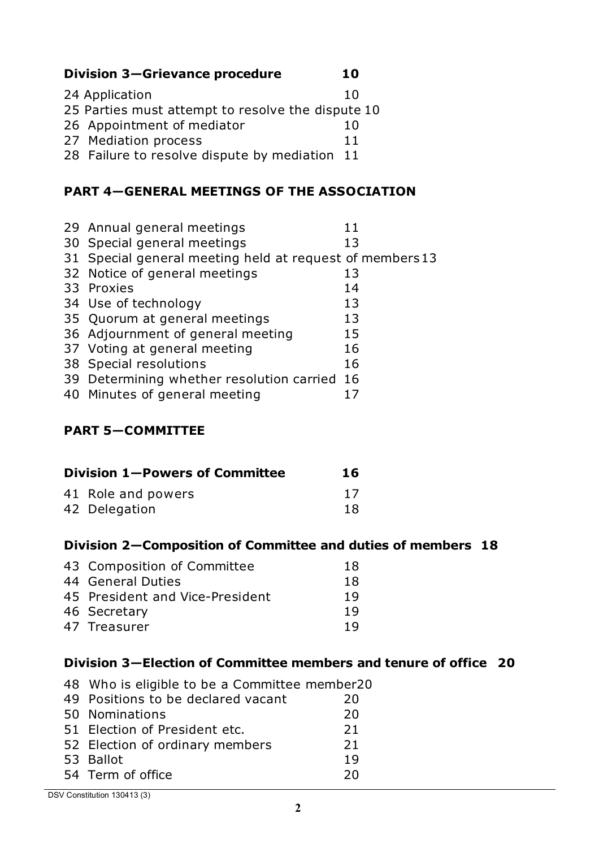**Division 3—Grievance procedure 10**

| 24 Application                                    | 10 |
|---------------------------------------------------|----|
| 25 Parties must attempt to resolve the dispute 10 |    |
| 26 Appointment of mediator                        | 10 |
| 27 Mediation process                              | 11 |
| 28 Failure to resolve dispute by mediation 11     |    |

## **PART 4—GENERAL MEETINGS OF THE ASSOCIATION**

| 29 Annual general meetings                               | 11 |
|----------------------------------------------------------|----|
| 30 Special general meetings                              | 13 |
| 31 Special general meeting held at request of members 13 |    |
| 32 Notice of general meetings                            | 13 |
| 33 Proxies                                               | 14 |
| 34 Use of technology                                     | 13 |
| 35 Quorum at general meetings                            | 13 |
| 36 Adjournment of general meeting                        | 15 |
| 37 Voting at general meeting                             | 16 |
| 38 Special resolutions                                   | 16 |
| 39 Determining whether resolution carried 16             |    |
| 40 Minutes of general meeting                            |    |

#### **PART 5—COMMITTEE**

| Division 1-Powers of Committee | 16 |
|--------------------------------|----|
| 41 Role and powers             | 17 |
| 42 Delegation                  | 18 |

## **Division 2—Composition of Committee and duties of members 18**

| 43 Composition of Committee     | 18  |
|---------------------------------|-----|
| 44 General Duties               | 18  |
| 45 President and Vice-President | 19  |
| 46 Secretary                    | 19  |
| 47 Treasurer                    | 1 Q |
|                                 |     |

## **Division 3—Election of Committee members and tenure of office 20**

| 49 Positions to be declared vacant | 20 |
|------------------------------------|----|
|                                    |    |
| 50 Nominations                     | 20 |
| 51 Election of President etc.      | 21 |
| 52 Election of ordinary members    | 21 |
| 53 Ballot                          | 19 |
| 54 Term of office                  | 20 |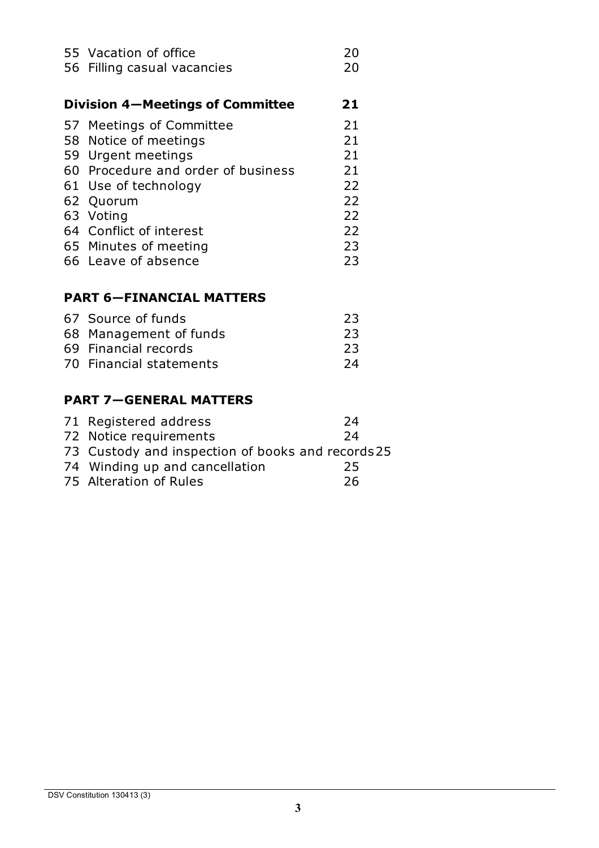| 55 Vacation of office                   | 20 |
|-----------------------------------------|----|
| 56 Filling casual vacancies             | 20 |
|                                         |    |
| <b>Division 4–Meetings of Committee</b> | 21 |
| 57 Meetings of Committee                | 21 |
| 58 Notice of meetings                   | 21 |
| 59 Urgent meetings                      | 21 |
| 60 Procedure and order of business      | 21 |
| 61 Use of technology                    | 22 |
| 62 Quorum                               | 22 |
| 63 Voting                               | 22 |
| 64 Conflict of interest                 | 22 |
| 65 Minutes of meeting                   | 23 |
| 66 Leave of absence                     | 23 |
|                                         |    |

# **PART 6—FINANCIAL MATTERS**

| 67 Source of funds      | 23  |
|-------------------------|-----|
| 68 Management of funds  | 23  |
| 69 Financial records    | -23 |
| 70 Financial statements | -24 |
|                         |     |

#### **PART 7—GENERAL MATTERS**

| 71 Registered address                            | 24 |
|--------------------------------------------------|----|
| 72 Notice requirements                           | 24 |
| 73 Custody and inspection of books and records25 |    |
| 74 Winding up and cancellation                   | 25 |
| 75 Alteration of Rules                           | 26 |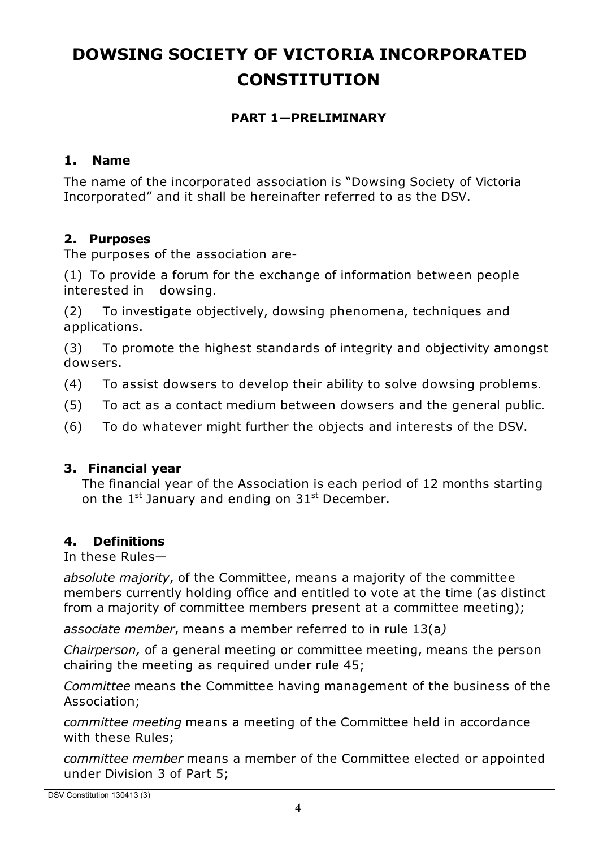# **DOWSING SOCIETY OF VICTORIA INCORPORATED CONSTITUTION**

#### **PART 1—PRELIMINARY**

#### **1. Name**

The name of the incorporated association is "Dowsing Society of Victoria Incorporated" and it shall be hereinafter referred to as the DSV.

#### **2. Purposes**

The purposes of the association are-

(1) To provide a forum for the exchange of information between people interested in dowsing.

(2) To investigate objectively, dowsing phenomena, techniques and applications.

(3) To promote the highest standards of integrity and objectivity amongst dowsers.

(4) To assist dowsers to develop their ability to solve dowsing problems.

- (5) To act as a contact medium between dowsers and the general public.
- (6) To do whatever might further the objects and interests of the DSV.

#### **3. Financial year**

The financial year of the Association is each period of 12 months starting on the  $1^{st}$  January and ending on  $31^{st}$  December.

#### **4. Definitions**

In these Rules—

*absolute majority*, of the Committee, means a majority of the committee members currently holding office and entitled to vote at the time (as distinct from a majority of committee members present at a committee meeting);

*associate member*, means a member referred to in rule 13(a*)*

*Chairperson,* of a general meeting or committee meeting, means the person chairing the meeting as required under rule 45;

*Committee* means the Committee having management of the business of the Association;

*committee meeting* means a meeting of the Committee held in accordance with these Rules;

*committee member* means a member of the Committee elected or appointed under Division 3 of Part 5;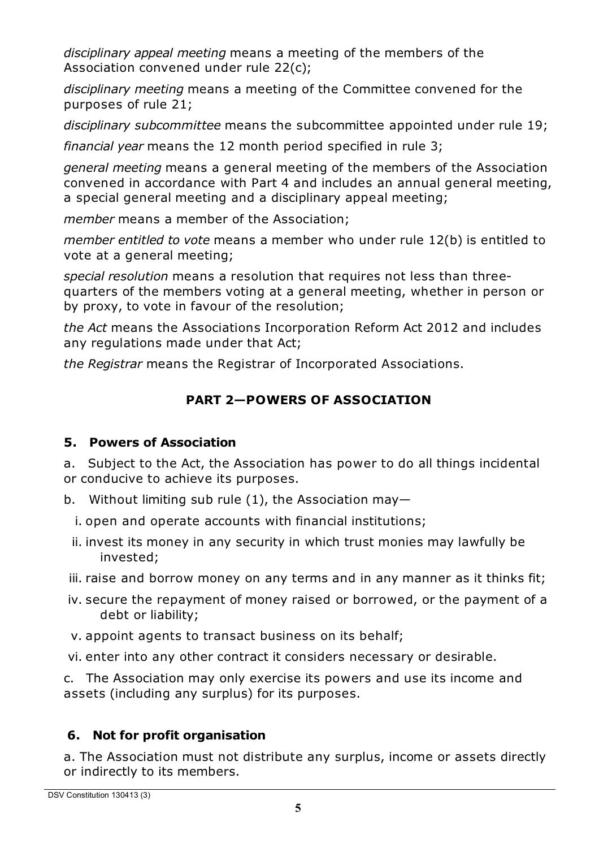*disciplinary appeal meeting* means a meeting of the members of the Association convened under rule 22(c);

*disciplinary meeting* means a meeting of the Committee convened for the purposes of rule 21;

*disciplinary subcommittee* means the subcommittee appointed under rule 19;

*financial year* means the 12 month period specified in rule 3;

*general meeting* means a general meeting of the members of the Association convened in accordance with Part 4 and includes an annual general meeting, a special general meeting and a disciplinary appeal meeting;

*member* means a member of the Association;

*member entitled to vote* means a member who under rule 12(b) is entitled to vote at a general meeting;

*special resolution* means a resolution that requires not less than threequarters of the members voting at a general meeting, whether in person or by proxy, to vote in favour of the resolution;

*the Act* means the Associations Incorporation Reform Act 2012 and includes any regulations made under that Act;

*the Registrar* means the Registrar of Incorporated Associations.

# **PART 2—POWERS OF ASSOCIATION**

## **5. Powers of Association**

a. Subject to the Act, the Association has power to do all things incidental or conducive to achieve its purposes.

- b. Without limiting sub rule (1), the Association may—
- i. open and operate accounts with financial institutions;
- ii. invest its money in any security in which trust monies may lawfully be invested;
- iii. raise and borrow money on any terms and in any manner as it thinks fit;
- iv. secure the repayment of money raised or borrowed, or the payment of a debt or liability;
- v. appoint agents to transact business on its behalf;
- vi. enter into any other contract it considers necessary or desirable.

c. The Association may only exercise its powers and use its income and assets (including any surplus) for its purposes.

# **6. Not for profit organisation**

a. The Association must not distribute any surplus, income or assets directly or indirectly to its members.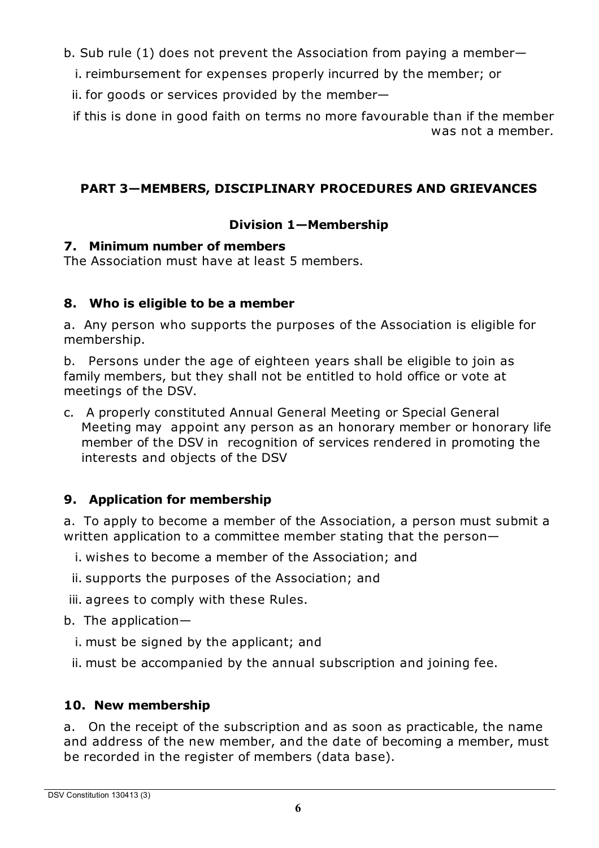b. Sub rule (1) does not prevent the Association from paying a member—

i. reimbursement for expenses properly incurred by the member; or

ii. for goods or services provided by the member—

if this is done in good faith on terms no more favourable than if the member was not a member.

# **PART 3—MEMBERS, DISCIPLINARY PROCEDURES AND GRIEVANCES**

# **Division 1—Membership**

#### **7. Minimum number of members**

The Association must have at least 5 members.

## **8. Who is eligible to be a member**

a. Any person who supports the purposes of the Association is eligible for membership.

b. Persons under the age of eighteen years shall be eligible to join as family members, but they shall not be entitled to hold office or vote at meetings of the DSV.

c. A properly constituted Annual General Meeting or Special General Meeting may appoint any person as an honorary member or honorary life member of the DSV in recognition of services rendered in promoting the interests and objects of the DSV

# **9. Application for membership**

a. To apply to become a member of the Association, a person must submit a written application to a committee member stating that the person—

- i. wishes to become a member of the Association; and
- ii. supports the purposes of the Association; and

iii. agrees to comply with these Rules.

b. The application—

- i. must be signed by the applicant; and
- ii. must be accompanied by the annual subscription and joining fee.

# **10. New membership**

a. On the receipt of the subscription and as soon as practicable, the name and address of the new member, and the date of becoming a member, must be recorded in the register of members (data base).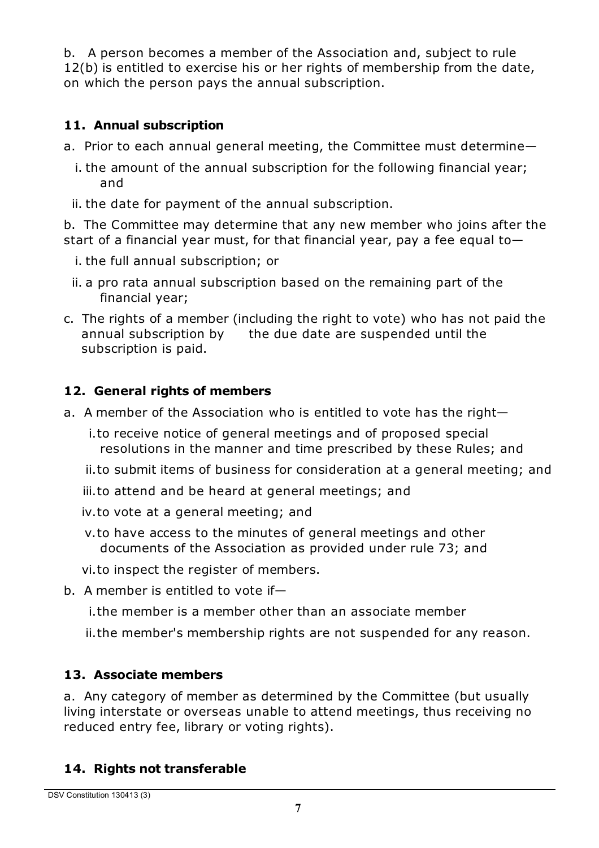b. A person becomes a member of the Association and, subject to rule 12(b) is entitled to exercise his or her rights of membership from the date, on which the person pays the annual subscription.

# **11. Annual subscription**

- a. Prior to each annual general meeting, the Committee must determine
	- i. the amount of the annual subscription for the following financial year; and
	- ii. the date for payment of the annual subscription.

b. The Committee may determine that any new member who joins after the start of a financial year must, for that financial year, pay a fee equal to—

- i. the full annual subscription; or
- ii. a pro rata annual subscription based on the remaining part of the financial year;
- c. The rights of a member (including the right to vote) who has not paid the annual subscription by the due date are suspended until the subscription is paid.

# **12. General rights of members**

- a. A member of the Association who is entitled to vote has the right
	- i.to receive notice of general meetings and of proposed special resolutions in the manner and time prescribed by these Rules; and
	- ii.to submit items of business for consideration at a general meeting; and
	- iii.to attend and be heard at general meetings; and
	- iv.to vote at a general meeting; and
	- v.to have access to the minutes of general meetings and other documents of the Association as provided under rule 73; and
	- vi.to inspect the register of members.
- b. A member is entitled to vote if
	- i.the member is a member other than an associate member
	- ii.the member's membership rights are not suspended for any reason.

## **13. Associate members**

a. Any category of member as determined by the Committee (but usually living interstate or overseas unable to attend meetings, thus receiving no reduced entry fee, library or voting rights).

## **14. Rights not transferable**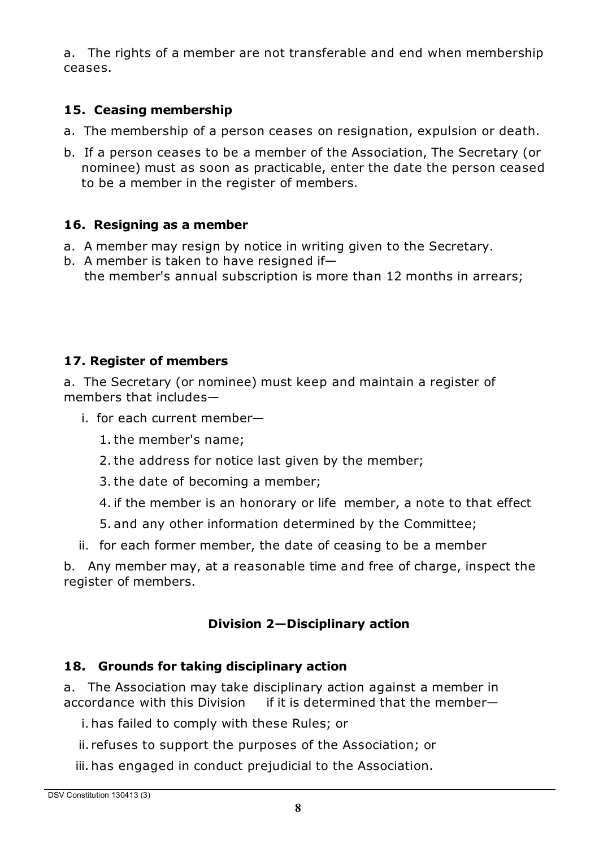a. The rights of a member are not transferable and end when membership ceases.

## **15. Ceasing membership**

- a. The membership of a person ceases on resignation, expulsion or death.
- b. If a person ceases to be a member of the Association, The Secretary (or nominee) must as soon as practicable, enter the date the person ceased to be a member in the register of members.

#### **16. Resigning as a member**

- a. A member may resign by notice in writing given to the Secretary.
- b. A member is taken to have resigned if the member's annual subscription is more than 12 months in arrears;

# **17. Register of members**

a. The Secretary (or nominee) must keep and maintain a register of members that includes—

- i. for each current member—
	- 1.the member's name;
	- 2.the address for notice last given by the member;
	- 3.the date of becoming a member;
	- 4. if the member is an honorary or life member, a note to that effect
	- 5. and any other information determined by the Committee;
- ii. for each former member, the date of ceasing to be a member

b. Any member may, at a reasonable time and free of charge, inspect the register of members.

## **Division 2—Disciplinary action**

## **18. Grounds for taking disciplinary action**

a. The Association may take disciplinary action against a member in accordance with this Division if it is determined that the member—

i. has failed to comply with these Rules; or

- ii. refuses to support the purposes of the Association; or
- iii. has engaged in conduct prejudicial to the Association.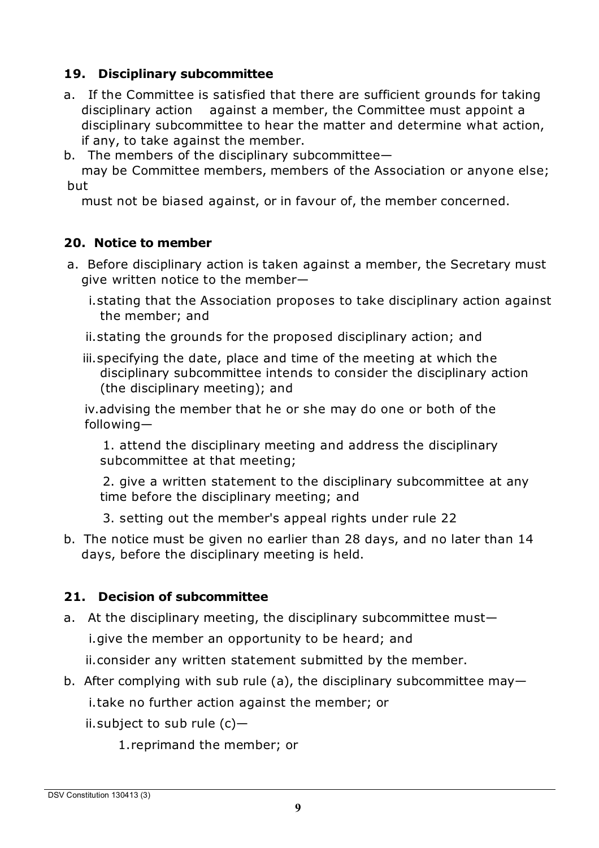#### **19. Disciplinary subcommittee**

- a. If the Committee is satisfied that there are sufficient grounds for taking disciplinary action against a member, the Committee must appoint a disciplinary subcommittee to hear the matter and determine what action, if any, to take against the member.
- b. The members of the disciplinary subcommittee—

may be Committee members, members of the Association or anyone else; but

must not be biased against, or in favour of, the member concerned.

#### **20. Notice to member**

- a. Before disciplinary action is taken against a member, the Secretary must give written notice to the member
	- i.stating that the Association proposes to take disciplinary action against the member; and
	- ii.stating the grounds for the proposed disciplinary action; and
	- iii.specifying the date, place and time of the meeting at which the disciplinary subcommittee intends to consider the disciplinary action (the disciplinary meeting); and

iv.advising the member that he or she may do one or both of the following—

1. attend the disciplinary meeting and address the disciplinary subcommittee at that meeting;

2. give a written statement to the disciplinary subcommittee at any time before the disciplinary meeting; and

- 3. setting out the member's appeal rights under rule 22
- b. The notice must be given no earlier than 28 days, and no later than 14 days, before the disciplinary meeting is held.

#### **21. Decision of subcommittee**

- a. At the disciplinary meeting, the disciplinary subcommittee must
	- i.give the member an opportunity to be heard; and

ii.consider any written statement submitted by the member.

b. After complying with sub rule (a), the disciplinary subcommittee may i.take no further action against the member; or

ii.subject to sub rule (c)—

1.reprimand the member; or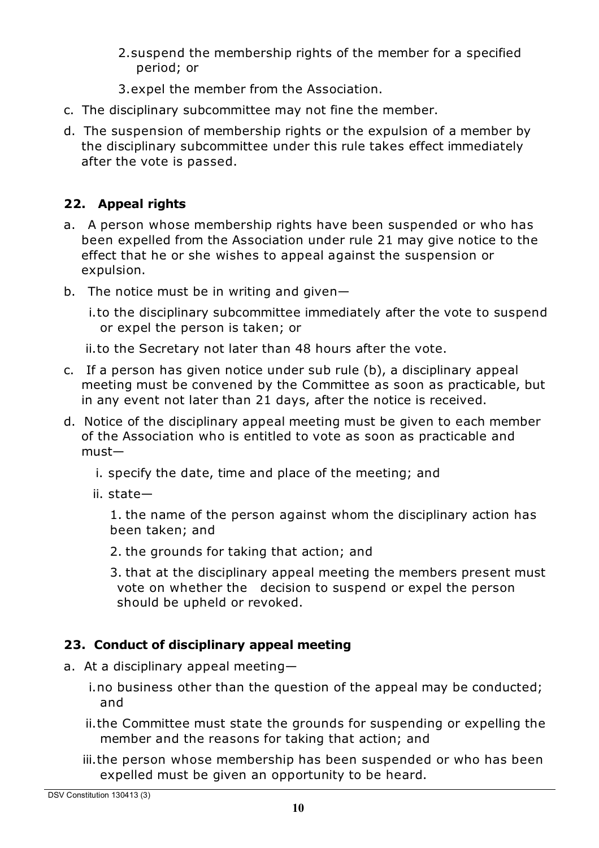- 2.suspend the membership rights of the member for a specified period; or
- 3.expel the member from the Association.
- c. The disciplinary subcommittee may not fine the member.
- d. The suspension of membership rights or the expulsion of a member by the disciplinary subcommittee under this rule takes effect immediately after the vote is passed.

# **22. Appeal rights**

- a. A person whose membership rights have been suspended or who has been expelled from the Association under rule 21 may give notice to the effect that he or she wishes to appeal against the suspension or expulsion.
- b. The notice must be in writing and given—

i.to the disciplinary subcommittee immediately after the vote to suspend or expel the person is taken; or

ii.to the Secretary not later than 48 hours after the vote.

- c. If a person has given notice under sub rule (b), a disciplinary appeal meeting must be convened by the Committee as soon as practicable, but in any event not later than 21 days, after the notice is received.
- d. Notice of the disciplinary appeal meeting must be given to each member of the Association who is entitled to vote as soon as practicable and must
	- i. specify the date, time and place of the meeting; and
	- ii. state—

1. the name of the person against whom the disciplinary action has been taken; and

2. the grounds for taking that action; and

3. that at the disciplinary appeal meeting the members present must vote on whether the decision to suspend or expel the person should be upheld or revoked.

## **23. Conduct of disciplinary appeal meeting**

- a. At a disciplinary appeal meeting
	- i.no business other than the question of the appeal may be conducted; and
	- ii.the Committee must state the grounds for suspending or expelling the member and the reasons for taking that action; and
	- iii.the person whose membership has been suspended or who has been expelled must be given an opportunity to be heard.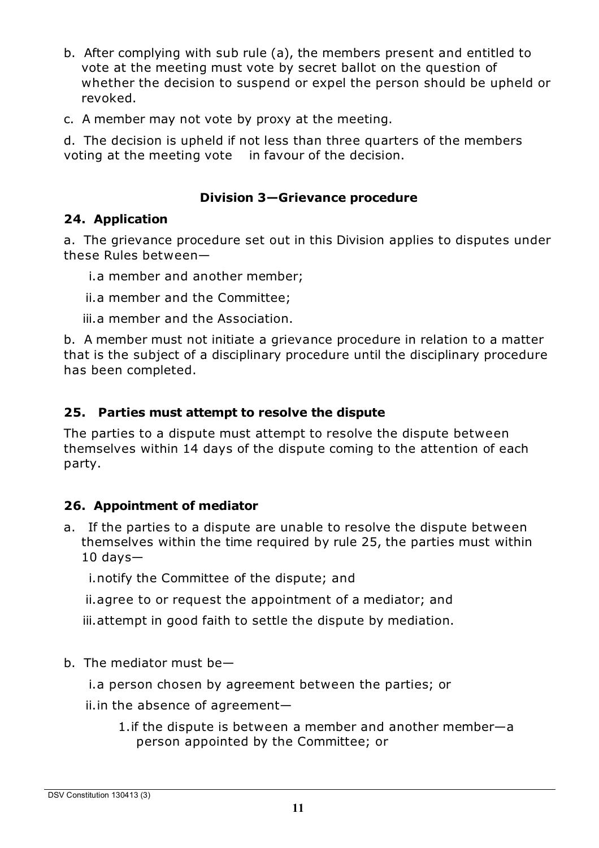- b. After complying with sub rule (a), the members present and entitled to vote at the meeting must vote by secret ballot on the question of whether the decision to suspend or expel the person should be upheld or revoked.
- c. A member may not vote by proxy at the meeting.

d. The decision is upheld if not less than three quarters of the members voting at the meeting vote in favour of the decision.

#### **Division 3—Grievance procedure**

#### **24. Application**

a. The grievance procedure set out in this Division applies to disputes under these Rules between—

- i.a member and another member;
- ii.a member and the Committee;
- iii.a member and the Association.

b. A member must not initiate a grievance procedure in relation to a matter that is the subject of a disciplinary procedure until the disciplinary procedure has been completed.

#### **25. Parties must attempt to resolve the dispute**

The parties to a dispute must attempt to resolve the dispute between themselves within 14 days of the dispute coming to the attention of each party.

#### **26. Appointment of mediator**

a. If the parties to a dispute are unable to resolve the dispute between themselves within the time required by rule 25, the parties must within  $10$  days $-$ 

i.notify the Committee of the dispute; and

ii.agree to or request the appointment of a mediator; and

iii.attempt in good faith to settle the dispute by mediation.

b. The mediator must be—

i.a person chosen by agreement between the parties; or

- ii.in the absence of agreement—
	- 1.if the dispute is between a member and another member—a person appointed by the Committee; or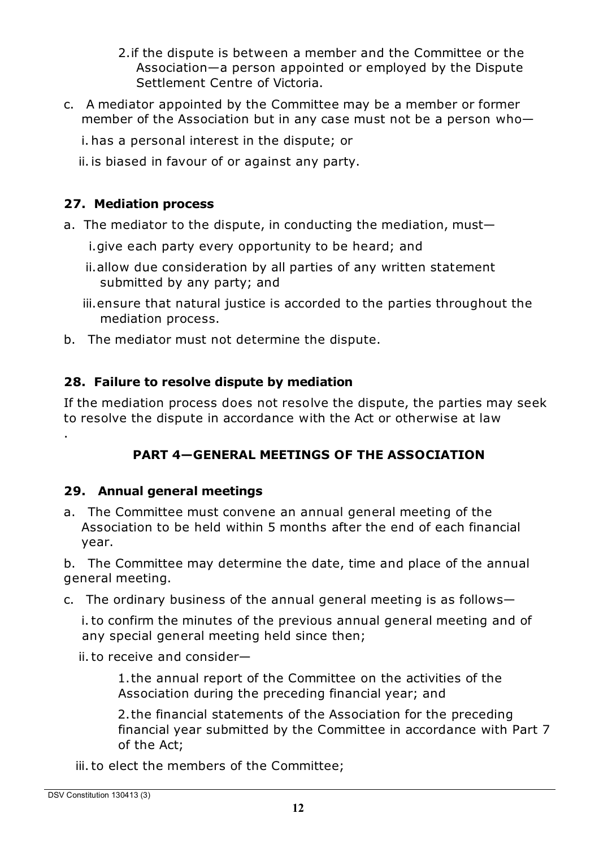- 2.if the dispute is between a member and the Committee or the Association—a person appointed or employed by the Dispute Settlement Centre of Victoria.
- c. A mediator appointed by the Committee may be a member or former member of the Association but in any case must not be a person who
	- i. has a personal interest in the dispute; or
	- ii.is biased in favour of or against any party.

# **27. Mediation process**

- a. The mediator to the dispute, in conducting the mediation, must
	- i.give each party every opportunity to be heard; and
	- ii.allow due consideration by all parties of any written statement submitted by any party; and
	- iii.ensure that natural justice is accorded to the parties throughout the mediation process.
- b. The mediator must not determine the dispute.

# **28. Failure to resolve dispute by mediation**

If the mediation process does not resolve the dispute, the parties may seek to resolve the dispute in accordance with the Act or otherwise at law .

# **PART 4—GENERAL MEETINGS OF THE ASSOCIATION**

## **29. Annual general meetings**

a. The Committee must convene an annual general meeting of the Association to be held within 5 months after the end of each financial year.

b. The Committee may determine the date, time and place of the annual general meeting.

c. The ordinary business of the annual general meeting is as follows—

i.to confirm the minutes of the previous annual general meeting and of any special general meeting held since then;

ii.to receive and consider—

1.the annual report of the Committee on the activities of the Association during the preceding financial year; and

2.the financial statements of the Association for the preceding financial year submitted by the Committee in accordance with Part 7 of the Act;

iii.to elect the members of the Committee;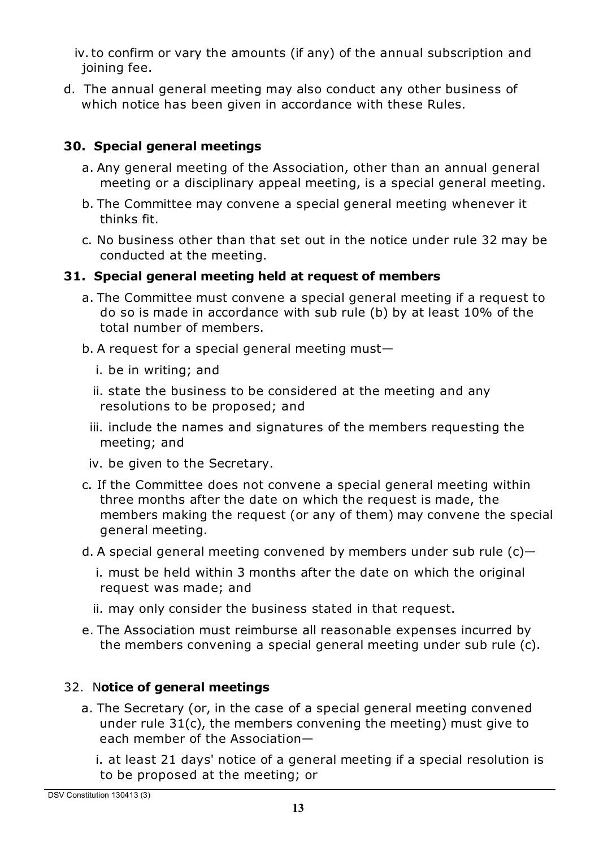iv.to confirm or vary the amounts (if any) of the annual subscription and joining fee.

d. The annual general meeting may also conduct any other business of which notice has been given in accordance with these Rules.

#### **30. Special general meetings**

- a. Any general meeting of the Association, other than an annual general meeting or a disciplinary appeal meeting, is a special general meeting.
- b. The Committee may convene a special general meeting whenever it thinks fit.
- c. No business other than that set out in the notice under rule 32 may be conducted at the meeting.

## **31. Special general meeting held at request of members**

- a. The Committee must convene a special general meeting if a request to do so is made in accordance with sub rule (b) by at least 10% of the total number of members.
- b. A request for a special general meeting must
	- i. be in writing; and
	- ii. state the business to be considered at the meeting and any resolutions to be proposed; and
	- iii. include the names and signatures of the members requesting the meeting; and
	- iv. be given to the Secretary.
- c. If the Committee does not convene a special general meeting within three months after the date on which the request is made, the members making the request (or any of them) may convene the special general meeting.
- d. A special general meeting convened by members under sub rule  $(c)$ 
	- i. must be held within 3 months after the date on which the original request was made; and
	- ii. may only consider the business stated in that request.
- e. The Association must reimburse all reasonable expenses incurred by the members convening a special general meeting under sub rule (c).

## 32. N**otice of general meetings**

- a. The Secretary (or, in the case of a special general meeting convened under rule 31(c), the members convening the meeting) must give to each member of the Association
	- i. at least 21 days' notice of a general meeting if a special resolution is to be proposed at the meeting; or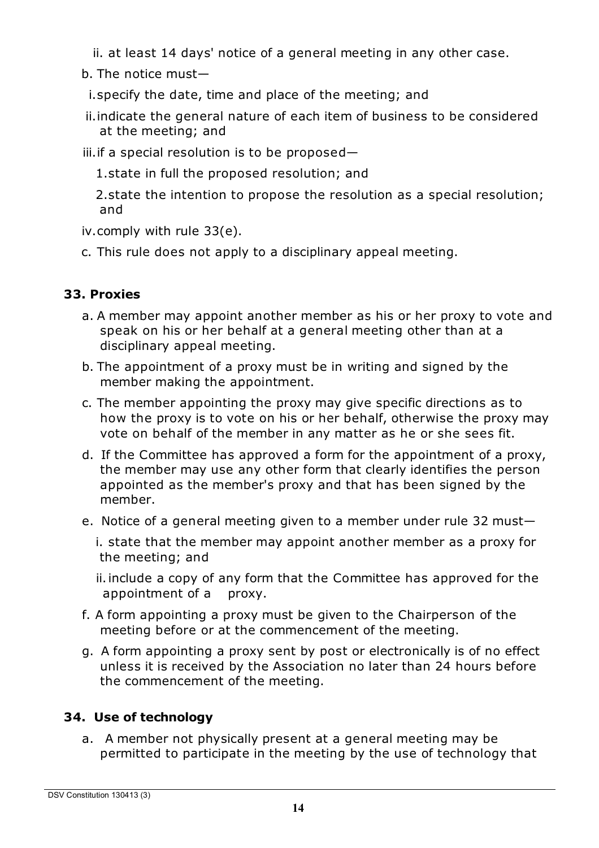ii. at least 14 days' notice of a general meeting in any other case.

b. The notice must—

i.specify the date, time and place of the meeting; and

- ii.indicate the general nature of each item of business to be considered at the meeting; and
- iii.if a special resolution is to be proposed—

1.state in full the proposed resolution; and

2.state the intention to propose the resolution as a special resolution; and

- iv.comply with rule 33(e).
- c. This rule does not apply to a disciplinary appeal meeting.

# **33. Proxies**

- a. A member may appoint another member as his or her proxy to vote and speak on his or her behalf at a general meeting other than at a disciplinary appeal meeting.
- b. The appointment of a proxy must be in writing and signed by the member making the appointment.
- c. The member appointing the proxy may give specific directions as to how the proxy is to vote on his or her behalf, otherwise the proxy may vote on behalf of the member in any matter as he or she sees fit.
- d. If the Committee has approved a form for the appointment of a proxy, the member may use any other form that clearly identifies the person appointed as the member's proxy and that has been signed by the member.
- e. Notice of a general meeting given to a member under rule 32 must
	- i. state that the member may appoint another member as a proxy for the meeting; and

ii.include a copy of any form that the Committee has approved for the appointment of a proxy.

- f. A form appointing a proxy must be given to the Chairperson of the meeting before or at the commencement of the meeting.
- g. A form appointing a proxy sent by post or electronically is of no effect unless it is received by the Association no later than 24 hours before the commencement of the meeting.

# **34. Use of technology**

a. A member not physically present at a general meeting may be permitted to participate in the meeting by the use of technology that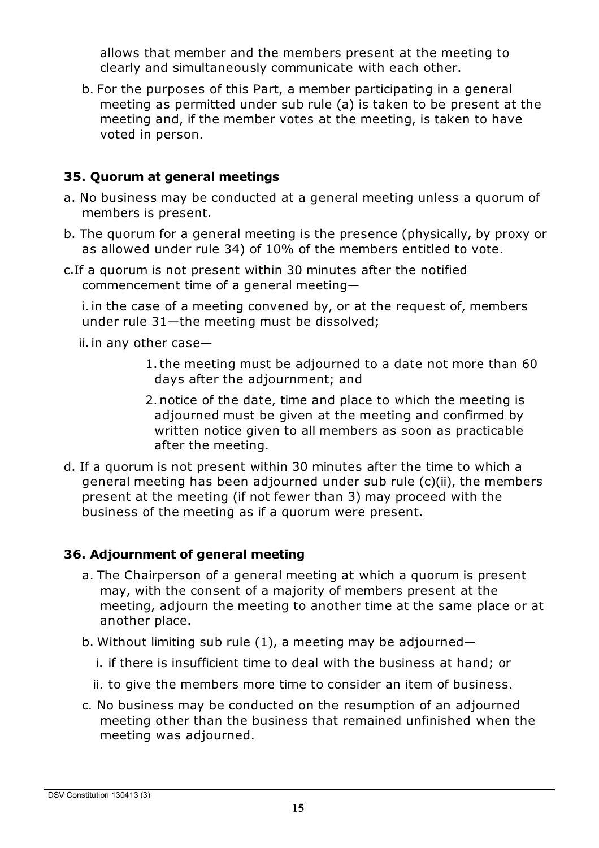allows that member and the members present at the meeting to clearly and simultaneously communicate with each other.

b. For the purposes of this Part, a member participating in a general meeting as permitted under sub rule (a) is taken to be present at the meeting and, if the member votes at the meeting, is taken to have voted in person.

#### **35. Quorum at general meetings**

- a. No business may be conducted at a general meeting unless a quorum of members is present.
- b. The quorum for a general meeting is the presence (physically, by proxy or as allowed under rule 34) of 10% of the members entitled to vote.
- c.If a quorum is not present within 30 minutes after the notified commencement time of a general meeting—

i.in the case of a meeting convened by, or at the request of, members under rule 31—the meeting must be dissolved;

ii.in any other case—

- 1.the meeting must be adjourned to a date not more than 60 days after the adjournment; and
- 2.notice of the date, time and place to which the meeting is adjourned must be given at the meeting and confirmed by written notice given to all members as soon as practicable after the meeting.
- d. If a quorum is not present within 30 minutes after the time to which a general meeting has been adjourned under sub rule (c)(ii), the members present at the meeting (if not fewer than 3) may proceed with the business of the meeting as if a quorum were present.

#### **36. Adjournment of general meeting**

- a. The Chairperson of a general meeting at which a quorum is present may, with the consent of a majority of members present at the meeting, adjourn the meeting to another time at the same place or at another place.
- b. Without limiting sub rule (1), a meeting may be adjourned
	- i. if there is insufficient time to deal with the business at hand; or
	- ii. to give the members more time to consider an item of business.
- c. No business may be conducted on the resumption of an adjourned meeting other than the business that remained unfinished when the meeting was adjourned.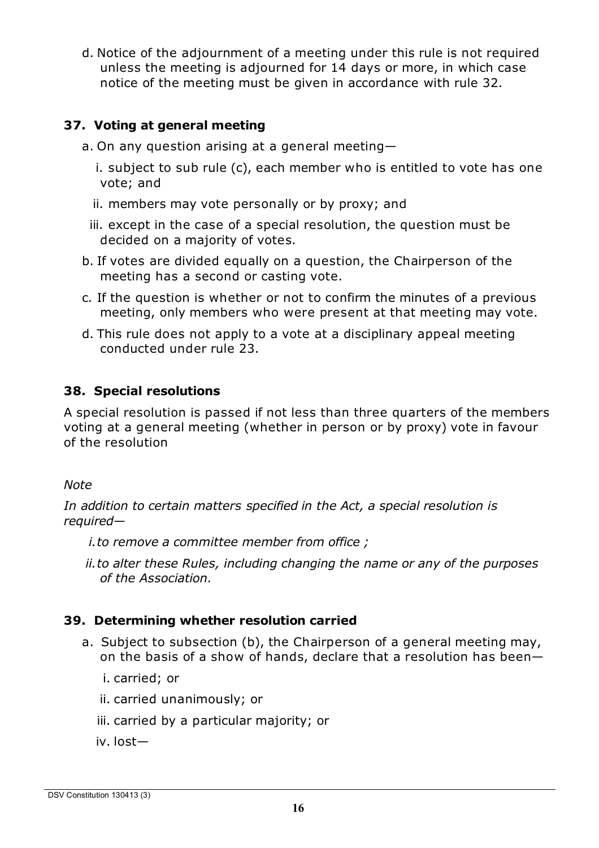d. Notice of the adjournment of a meeting under this rule is not required unless the meeting is adjourned for 14 days or more, in which case notice of the meeting must be given in accordance with rule 32.

#### **37. Voting at general meeting**

- a. On any question arising at a general meeting
	- i. subject to sub rule (c), each member who is entitled to vote has one vote; and
	- ii. members may vote personally or by proxy; and
	- iii. except in the case of a special resolution, the question must be decided on a majority of votes.
- b. If votes are divided equally on a question, the Chairperson of the meeting has a second or casting vote.
- c. If the question is whether or not to confirm the minutes of a previous meeting, only members who were present at that meeting may vote.
- d. This rule does not apply to a vote at a disciplinary appeal meeting conducted under rule 23.

#### **38. Special resolutions**

A special resolution is passed if not less than three quarters of the members voting at a general meeting (whether in person or by proxy) vote in favour of the resolution

#### *Note*

*In addition to certain matters specified in the Act, a special resolution is required—*

- *i.to remove a committee member from office ;*
- *ii.to alter these Rules, including changing the name or any of the purposes of the Association.*

## **39. Determining whether resolution carried**

- a. Subject to subsection (b), the Chairperson of a general meeting may, on the basis of a show of hands, declare that a resolution has been
	- i. carried; or
	- ii. carried unanimously; or
	- iii. carried by a particular majority; or
	- iv. lost—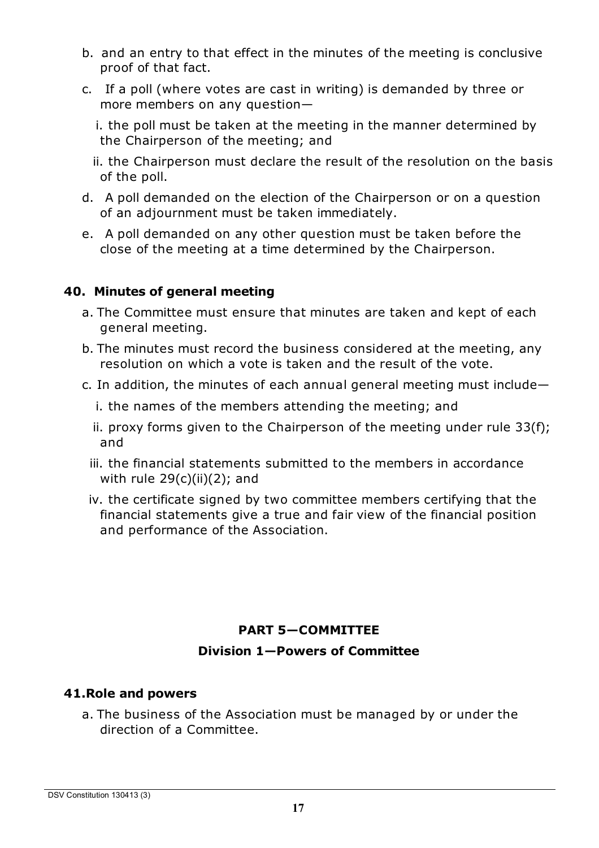- b. and an entry to that effect in the minutes of the meeting is conclusive proof of that fact.
- c. If a poll (where votes are cast in writing) is demanded by three or more members on any question—

i. the poll must be taken at the meeting in the manner determined by the Chairperson of the meeting; and

ii. the Chairperson must declare the result of the resolution on the basis of the poll.

- d. A poll demanded on the election of the Chairperson or on a question of an adjournment must be taken immediately.
- e. A poll demanded on any other question must be taken before the close of the meeting at a time determined by the Chairperson.

#### **40. Minutes of general meeting**

- a. The Committee must ensure that minutes are taken and kept of each general meeting.
- b. The minutes must record the business considered at the meeting, any resolution on which a vote is taken and the result of the vote.
- c. In addition, the minutes of each annual general meeting must include
	- i. the names of the members attending the meeting; and
	- ii. proxy forms given to the Chairperson of the meeting under rule 33(f); and
	- iii. the financial statements submitted to the members in accordance with rule  $29(c)(ii)(2)$ ; and
	- iv. the certificate signed by two committee members certifying that the financial statements give a true and fair view of the financial position and performance of the Association.

## **PART 5—COMMITTEE**

#### **Division 1—Powers of Committee**

#### **41.Role and powers**

a. The business of the Association must be managed by or under the direction of a Committee.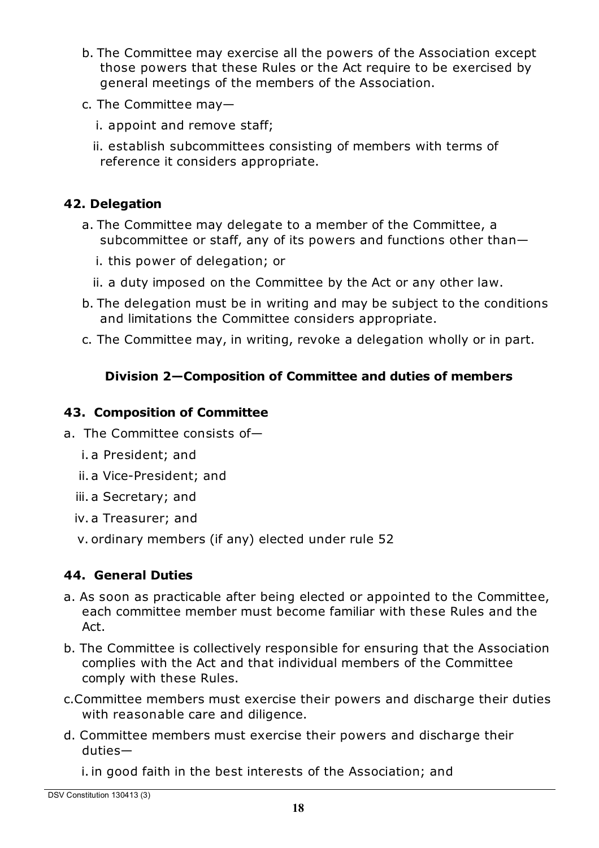- b. The Committee may exercise all the powers of the Association except those powers that these Rules or the Act require to be exercised by general meetings of the members of the Association.
- c. The Committee may
	- i. appoint and remove staff;
	- ii. establish subcommittees consisting of members with terms of reference it considers appropriate.

# **42. Delegation**

- a. The Committee may delegate to a member of the Committee, a subcommittee or staff, any of its powers and functions other than
	- i. this power of delegation; or
	- ii. a duty imposed on the Committee by the Act or any other law.
- b. The delegation must be in writing and may be subject to the conditions and limitations the Committee considers appropriate.
- c. The Committee may, in writing, revoke a delegation wholly or in part.

# **Division 2—Composition of Committee and duties of members**

## **43. Composition of Committee**

- a. The Committee consists of
	- i. a President; and
	- ii. a Vice-President; and
	- iii. a Secretary; and
	- iv. a Treasurer; and
	- v. ordinary members (if any) elected under rule 52

# **44. General Duties**

- a. As soon as practicable after being elected or appointed to the Committee, each committee member must become familiar with these Rules and the Act.
- b. The Committee is collectively responsible for ensuring that the Association complies with the Act and that individual members of the Committee comply with these Rules.
- c.Committee members must exercise their powers and discharge their duties with reasonable care and diligence.
- d. Committee members must exercise their powers and discharge their duties—

i.in good faith in the best interests of the Association; and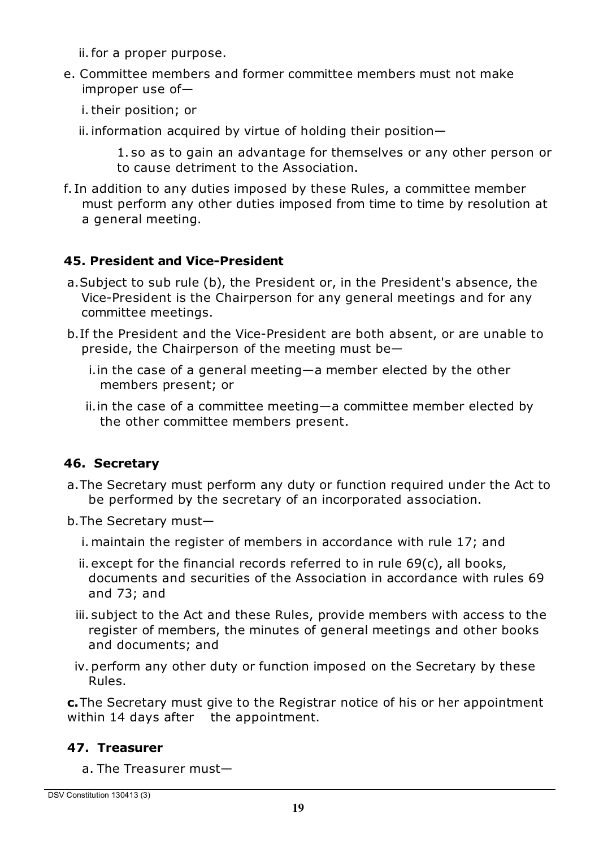ii.for a proper purpose.

- e. Committee members and former committee members must not make improper use of
	- i.their position; or
	- ii. information acquired by virtue of holding their position $-$

1. so as to gain an advantage for themselves or any other person or to cause detriment to the Association.

f. In addition to any duties imposed by these Rules, a committee member must perform any other duties imposed from time to time by resolution at a general meeting.

#### **45. President and Vice-President**

- a.Subject to sub rule (b), the President or, in the President's absence, the Vice-President is the Chairperson for any general meetings and for any committee meetings.
- b.If the President and the Vice-President are both absent, or are unable to preside, the Chairperson of the meeting must be
	- i.in the case of a general meeting—a member elected by the other members present; or
	- ii.in the case of a committee meeting—a committee member elected by the other committee members present.

## **46. Secretary**

- a.The Secretary must perform any duty or function required under the Act to be performed by the secretary of an incorporated association.
- b.The Secretary must
	- i. maintain the register of members in accordance with rule 17; and
	- ii. except for the financial records referred to in rule 69(c), all books, documents and securities of the Association in accordance with rules 69 and 73; and
	- iii. subject to the Act and these Rules, provide members with access to the register of members, the minutes of general meetings and other books and documents; and
	- iv. perform any other duty or function imposed on the Secretary by these Rules.

**c.**The Secretary must give to the Registrar notice of his or her appointment within 14 days after the appointment.

#### **47. Treasurer**

a. The Treasurer must—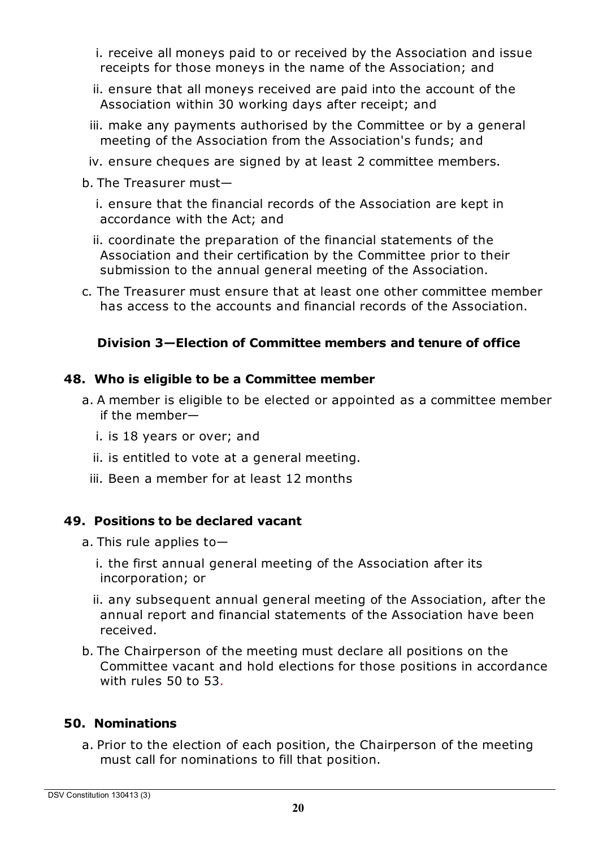- i. receive all moneys paid to or received by the Association and issue receipts for those moneys in the name of the Association; and
- ii. ensure that all moneys received are paid into the account of the Association within 30 working days after receipt; and
- iii. make any payments authorised by the Committee or by a general meeting of the Association from the Association's funds; and
- iv. ensure cheques are signed by at least 2 committee members.
- b. The Treasurer must
	- i. ensure that the financial records of the Association are kept in accordance with the Act; and
	- ii. coordinate the preparation of the financial statements of the Association and their certification by the Committee prior to their submission to the annual general meeting of the Association.
- c. The Treasurer must ensure that at least one other committee member has access to the accounts and financial records of the Association.

## **Division 3—Election of Committee members and tenure of office**

#### **48. Who is eligible to be a Committee member**

- a. A member is eligible to be elected or appointed as a committee member if the member
	- i. is 18 years or over; and
	- ii. is entitled to vote at a general meeting.
	- iii. Been a member for at least 12 months

## **49. Positions to be declared vacant**

- a. This rule applies to
	- i. the first annual general meeting of the Association after its incorporation; or
	- ii. any subsequent annual general meeting of the Association, after the annual report and financial statements of the Association have been received.
- b. The Chairperson of the meeting must declare all positions on the Committee vacant and hold elections for those positions in accordance with rules 50 to 53.

## **50. Nominations**

a. Prior to the election of each position, the Chairperson of the meeting must call for nominations to fill that position.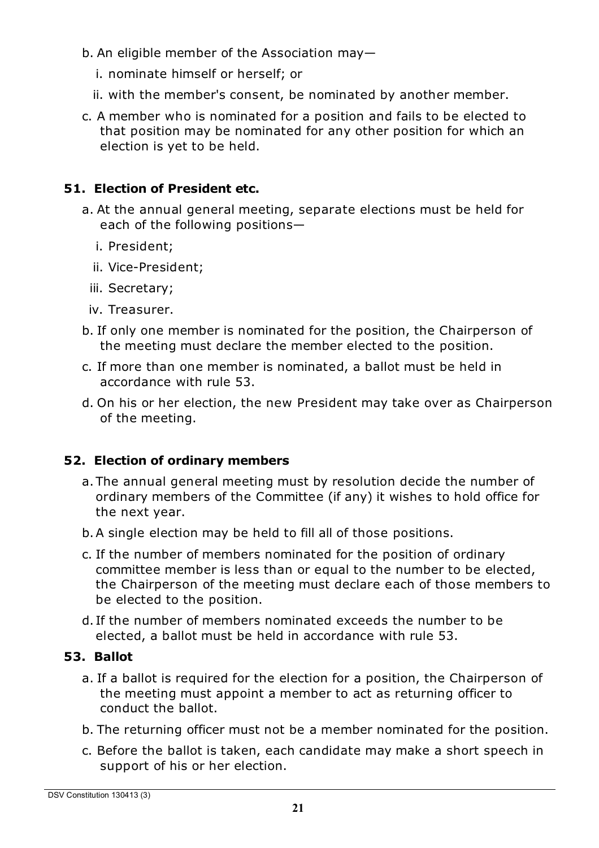- b. An eligible member of the Association may
	- i. nominate himself or herself; or
	- ii. with the member's consent, be nominated by another member.
- c. A member who is nominated for a position and fails to be elected to that position may be nominated for any other position for which an election is yet to be held.

#### **51. Election of President etc.**

- a. At the annual general meeting, separate elections must be held for each of the following positions
	- i. President;
	- ii. Vice-President;
	- iii. Secretary;
	- iv. Treasurer.
- b. If only one member is nominated for the position, the Chairperson of the meeting must declare the member elected to the position.
- c. If more than one member is nominated, a ballot must be held in accordance with rule 53.
- d. On his or her election, the new President may take over as Chairperson of the meeting.

#### **52. Election of ordinary members**

- a. The annual general meeting must by resolution decide the number of ordinary members of the Committee (if any) it wishes to hold office for the next year.
- b.A single election may be held to fill all of those positions.
- c. If the number of members nominated for the position of ordinary committee member is less than or equal to the number to be elected, the Chairperson of the meeting must declare each of those members to be elected to the position.
- d. If the number of members nominated exceeds the number to be elected, a ballot must be held in accordance with rule 53.

#### **53. Ballot**

- a. If a ballot is required for the election for a position, the Chairperson of the meeting must appoint a member to act as returning officer to conduct the ballot.
- b. The returning officer must not be a member nominated for the position.
- c. Before the ballot is taken, each candidate may make a short speech in support of his or her election.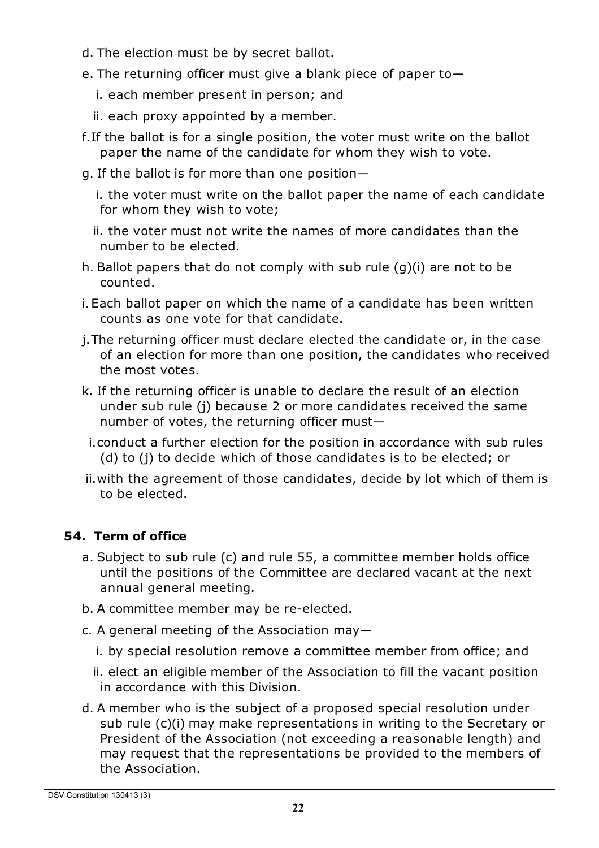- d. The election must be by secret ballot.
- e. The returning officer must give a blank piece of paper to
	- i. each member present in person; and
	- ii. each proxy appointed by a member.
- f.If the ballot is for a single position, the voter must write on the ballot paper the name of the candidate for whom they wish to vote.
- g. If the ballot is for more than one position
	- i. the voter must write on the ballot paper the name of each candidate for whom they wish to vote;
	- ii. the voter must not write the names of more candidates than the number to be elected.
- h. Ballot papers that do not comply with sub rule (g)(i) are not to be counted.
- i.Each ballot paper on which the name of a candidate has been written counts as one vote for that candidate.
- j.The returning officer must declare elected the candidate or, in the case of an election for more than one position, the candidates who received the most votes.
- k. If the returning officer is unable to declare the result of an election under sub rule (j) because 2 or more candidates received the same number of votes, the returning officer must—
- i.conduct a further election for the position in accordance with sub rules (d) to (j) to decide which of those candidates is to be elected; or
- ii.with the agreement of those candidates, decide by lot which of them is to be elected.

# **54. Term of office**

- a. Subject to sub rule (c) and rule 55, a committee member holds office until the positions of the Committee are declared vacant at the next annual general meeting.
- b. A committee member may be re-elected.
- c. A general meeting of the Association may
	- i. by special resolution remove a committee member from office; and
	- ii. elect an eligible member of the Association to fill the vacant position in accordance with this Division.
- d. A member who is the subject of a proposed special resolution under sub rule (c)(i) may make representations in writing to the Secretary or President of the Association (not exceeding a reasonable length) and may request that the representations be provided to the members of the Association.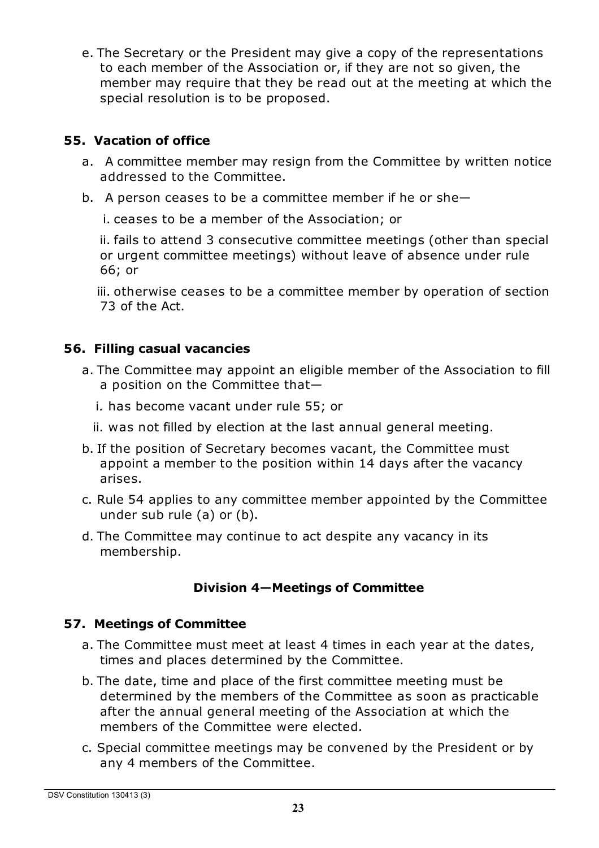e. The Secretary or the President may give a copy of the representations to each member of the Association or, if they are not so given, the member may require that they be read out at the meeting at which the special resolution is to be proposed.

## **55. Vacation of office**

- a. A committee member may resign from the Committee by written notice addressed to the Committee.
- b. A person ceases to be a committee member if he or she—

i. ceases to be a member of the Association; or

ii. fails to attend 3 consecutive committee meetings (other than special or urgent committee meetings) without leave of absence under rule 66; or

iii. otherwise ceases to be a committee member by operation of section 73 of the Act.

## **56. Filling casual vacancies**

- a. The Committee may appoint an eligible member of the Association to fill a position on the Committee that
	- i. has become vacant under rule 55; or
	- ii. was not filled by election at the last annual general meeting.
- b. If the position of Secretary becomes vacant, the Committee must appoint a member to the position within 14 days after the vacancy arises.
- c. Rule 54 applies to any committee member appointed by the Committee under sub rule (a) or (b).
- d. The Committee may continue to act despite any vacancy in its membership.

# **Division 4—Meetings of Committee**

## **57. Meetings of Committee**

- a. The Committee must meet at least 4 times in each year at the dates, times and places determined by the Committee.
- b. The date, time and place of the first committee meeting must be determined by the members of the Committee as soon as practicable after the annual general meeting of the Association at which the members of the Committee were elected.
- c. Special committee meetings may be convened by the President or by any 4 members of the Committee.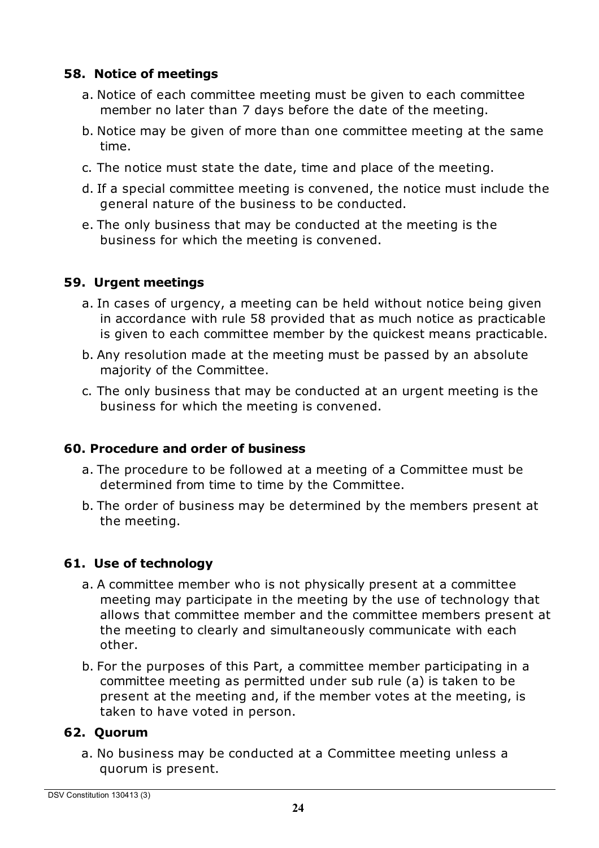#### **58. Notice of meetings**

- a. Notice of each committee meeting must be given to each committee member no later than 7 days before the date of the meeting.
- b. Notice may be given of more than one committee meeting at the same time.
- c. The notice must state the date, time and place of the meeting.
- d. If a special committee meeting is convened, the notice must include the general nature of the business to be conducted.
- e. The only business that may be conducted at the meeting is the business for which the meeting is convened.

#### **59. Urgent meetings**

- a. In cases of urgency, a meeting can be held without notice being given in accordance with rule 58 provided that as much notice as practicable is given to each committee member by the quickest means practicable.
- b. Any resolution made at the meeting must be passed by an absolute majority of the Committee.
- c. The only business that may be conducted at an urgent meeting is the business for which the meeting is convened.

## **60. Procedure and order of business**

- a. The procedure to be followed at a meeting of a Committee must be determined from time to time by the Committee.
- b. The order of business may be determined by the members present at the meeting.

## **61. Use of technology**

- a. A committee member who is not physically present at a committee meeting may participate in the meeting by the use of technology that allows that committee member and the committee members present at the meeting to clearly and simultaneously communicate with each other.
- b. For the purposes of this Part, a committee member participating in a committee meeting as permitted under sub rule (a) is taken to be present at the meeting and, if the member votes at the meeting, is taken to have voted in person.

## **62. Quorum**

a. No business may be conducted at a Committee meeting unless a quorum is present.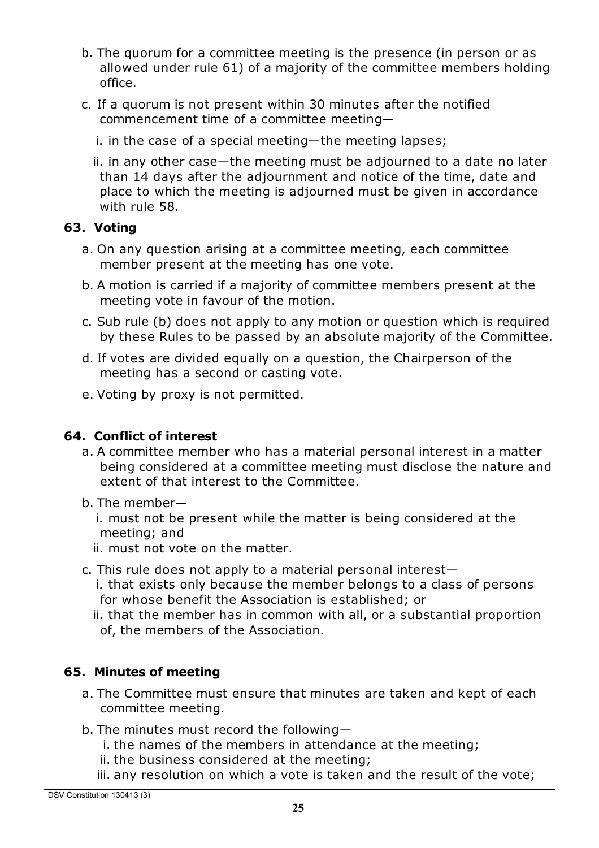- b. The quorum for a committee meeting is the presence (in person or as allowed under rule 61) of a majority of the committee members holding office.
- c. If a quorum is not present within 30 minutes after the notified commencement time of a committee meeting
	- i. in the case of a special meeting—the meeting lapses;
	- ii. in any other case—the meeting must be adjourned to a date no later than 14 days after the adjournment and notice of the time, date and place to which the meeting is adjourned must be given in accordance with rule 58.

#### **63. Voting**

- a. On any question arising at a committee meeting, each committee member present at the meeting has one vote.
- b. A motion is carried if a majority of committee members present at the meeting vote in favour of the motion.
- c. Sub rule (b) does not apply to any motion or question which is required by these Rules to be passed by an absolute majority of the Committee.
- d. If votes are divided equally on a question, the Chairperson of the meeting has a second or casting vote.
- e. Voting by proxy is not permitted.

#### **64. Conflict of interest**

- a. A committee member who has a material personal interest in a matter being considered at a committee meeting must disclose the nature and extent of that interest to the Committee.
- b. The member
	- i. must not be present while the matter is being considered at the meeting; and
	- ii. must not vote on the matter.
- c. This rule does not apply to a material personal interest
	- i. that exists only because the member belongs to a class of persons for whose benefit the Association is established; or

ii. that the member has in common with all, or a substantial proportion of, the members of the Association.

## **65. Minutes of meeting**

- a. The Committee must ensure that minutes are taken and kept of each committee meeting.
- b. The minutes must record the following
	- i. the names of the members in attendance at the meeting;
	- ii. the business considered at the meeting;
	- iii. any resolution on which a vote is taken and the result of the vote;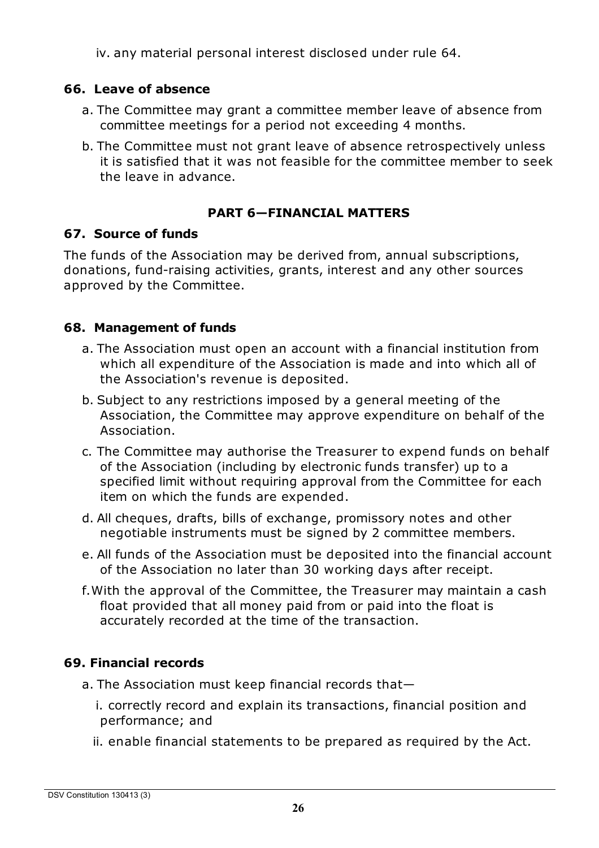iv. any material personal interest disclosed under rule 64.

#### **66. Leave of absence**

- a. The Committee may grant a committee member leave of absence from committee meetings for a period not exceeding 4 months.
- b. The Committee must not grant leave of absence retrospectively unless it is satisfied that it was not feasible for the committee member to seek the leave in advance.

#### **PART 6—FINANCIAL MATTERS**

#### **67. Source of funds**

The funds of the Association may be derived from, annual subscriptions, donations, fund-raising activities, grants, interest and any other sources approved by the Committee.

#### **68. Management of funds**

- a. The Association must open an account with a financial institution from which all expenditure of the Association is made and into which all of the Association's revenue is deposited.
- b. Subject to any restrictions imposed by a general meeting of the Association, the Committee may approve expenditure on behalf of the Association.
- c. The Committee may authorise the Treasurer to expend funds on behalf of the Association (including by electronic funds transfer) up to a specified limit without requiring approval from the Committee for each item on which the funds are expended.
- d. All cheques, drafts, bills of exchange, promissory notes and other negotiable instruments must be signed by 2 committee members.
- e. All funds of the Association must be deposited into the financial account of the Association no later than 30 working days after receipt.
- f.With the approval of the Committee, the Treasurer may maintain a cash float provided that all money paid from or paid into the float is accurately recorded at the time of the transaction.

#### **69. Financial records**

- a. The Association must keep financial records that
	- i. correctly record and explain its transactions, financial position and performance; and
	- ii. enable financial statements to be prepared as required by the Act.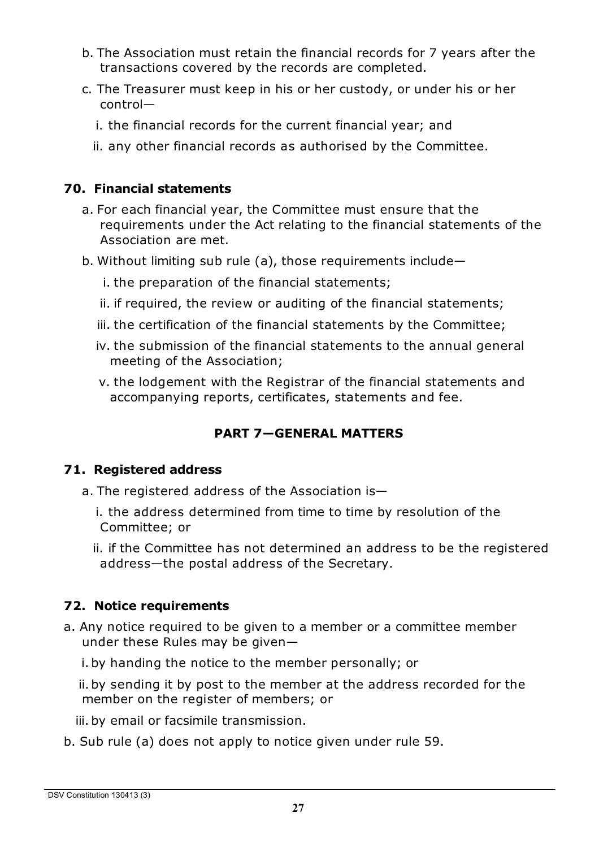- b. The Association must retain the financial records for 7 years after the transactions covered by the records are completed.
- c. The Treasurer must keep in his or her custody, or under his or her control
	- i. the financial records for the current financial year; and
	- ii. any other financial records as authorised by the Committee.

#### **70. Financial statements**

- a. For each financial year, the Committee must ensure that the requirements under the Act relating to the financial statements of the Association are met.
- b. Without limiting sub rule (a), those requirements include
	- i. the preparation of the financial statements;
	- ii. if required, the review or auditing of the financial statements;
	- iii. the certification of the financial statements by the Committee;
	- iv. the submission of the financial statements to the annual general meeting of the Association;
	- v. the lodgement with the Registrar of the financial statements and accompanying reports, certificates, statements and fee.

# **PART 7—GENERAL MATTERS**

## **71. Registered address**

- a. The registered address of the Association is
	- i. the address determined from time to time by resolution of the Committee; or
	- ii. if the Committee has not determined an address to be the registered address—the postal address of the Secretary.

## **72. Notice requirements**

- a. Any notice required to be given to a member or a committee member under these Rules may be given
	- i. by handing the notice to the member personally; or

ii. by sending it by post to the member at the address recorded for the member on the register of members; or

- iii. by email or facsimile transmission.
- b. Sub rule (a) does not apply to notice given under rule 59.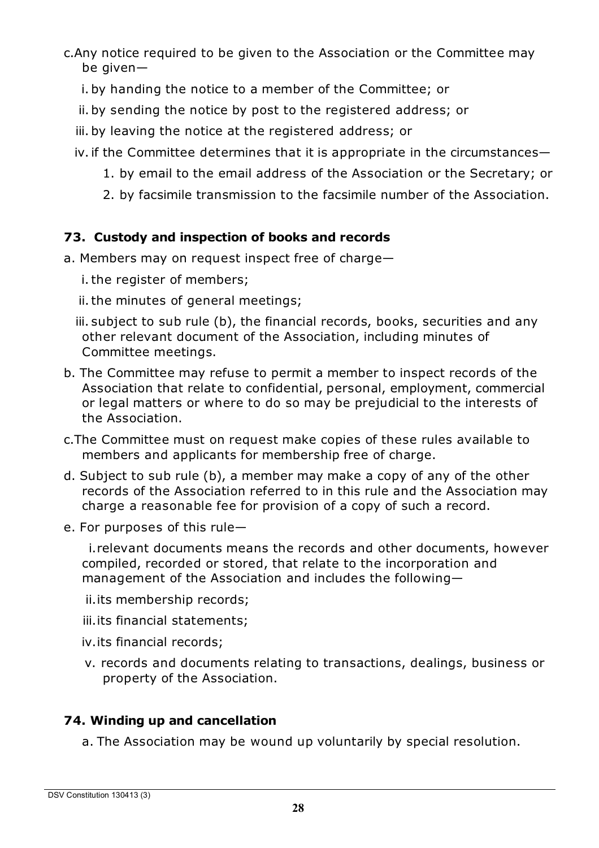c.Any notice required to be given to the Association or the Committee may be given—

- i. by handing the notice to a member of the Committee; or
- ii. by sending the notice by post to the registered address; or
- iii. by leaving the notice at the registered address; or
- iv.if the Committee determines that it is appropriate in the circumstances—
	- 1. by email to the email address of the Association or the Secretary; or
	- 2. by facsimile transmission to the facsimile number of the Association.

## **73. Custody and inspection of books and records**

a. Members may on request inspect free of charge—

i. the register of members;

ii. the minutes of general meetings;

iii. subject to sub rule (b), the financial records, books, securities and any other relevant document of the Association, including minutes of Committee meetings.

- b. The Committee may refuse to permit a member to inspect records of the Association that relate to confidential, personal, employment, commercial or legal matters or where to do so may be prejudicial to the interests of the Association.
- c.The Committee must on request make copies of these rules available to members and applicants for membership free of charge.
- d. Subject to sub rule (b), a member may make a copy of any of the other records of the Association referred to in this rule and the Association may charge a reasonable fee for provision of a copy of such a record.
- e. For purposes of this rule—

i.relevant documents means the records and other documents, however compiled, recorded or stored, that relate to the incorporation and management of the Association and includes the following—

ii.its membership records;

- iii.its financial statements;
- iv.its financial records;
- v. records and documents relating to transactions, dealings, business or property of the Association.

# **74. Winding up and cancellation**

a. The Association may be wound up voluntarily by special resolution.